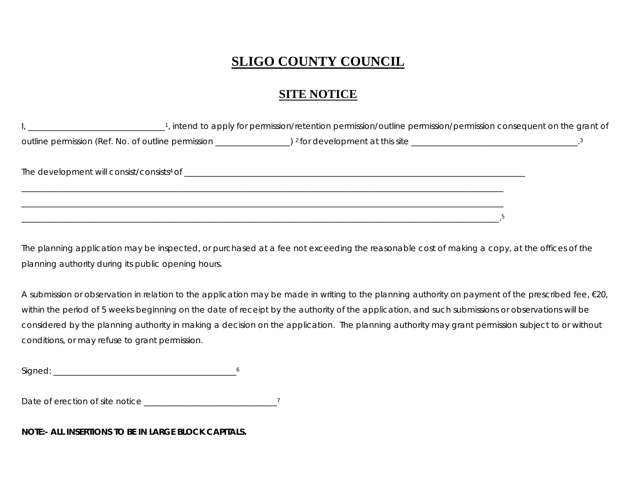## **SLIGO COUNTY COUNCIL**

## **SITE NOTICE**

| 1, intend to apply for permission/retention permission/outline permission/permission consequent on the grant of |  |
|-----------------------------------------------------------------------------------------------------------------|--|
|                                                                                                                 |  |
|                                                                                                                 |  |
|                                                                                                                 |  |
|                                                                                                                 |  |

The planning application may be inspected, or purchased at a fee not exceeding the reasonable cost of making a copy, at the offices of the planning authority during its public opening hours.

A submission or observation in relation to the application may be made in writing to the planning authority on payment of the prescribed fee, €20, within the period of 5 weeks beginning on the date of receipt by the authority of the application, and such submissions or observations will be considered by the planning authority in making a decision on the application. The planning authority may grant permission subject to or without conditions, or may refuse to grant permission.

 $Signed:$ 

Date of erection of site notice \_\_\_\_\_\_\_\_\_\_\_\_\_\_\_\_\_\_\_\_\_\_\_\_\_\_\_\_\_\_\_\_7

**NOTE:- ALL INSERTIONS TO BE IN LARGE BLOCK CAPITALS.**